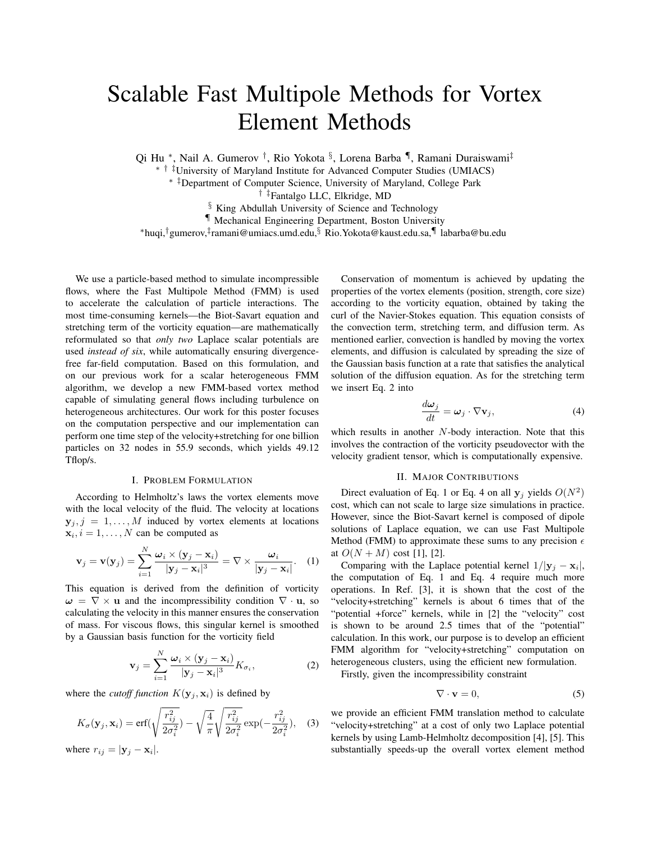## Scalable Fast Multipole Methods for Vortex Element Methods

Qi Hu \*, Nail A. Gumerov <sup>†</sup>, Rio Yokota <sup>§</sup>, Lorena Barba <sup>¶</sup>, Ramani Duraiswami<sup>‡</sup>

∗ † ‡University of Maryland Institute for Advanced Computer Studies (UMIACS)

∗ ‡Department of Computer Science, University of Maryland, College Park

† ‡Fantalgo LLC, Elkridge, MD

§ King Abdullah University of Science and Technology

¶ Mechanical Engineering Department, Boston University

<sup>∗</sup>huqi,†gumerov,‡ ramani@umiacs.umd.edu,§ Rio.Yokota@kaust.edu.sa,¶ labarba@bu.edu

We use a particle-based method to simulate incompressible flows, where the Fast Multipole Method (FMM) is used to accelerate the calculation of particle interactions. The most time-consuming kernels—the Biot-Savart equation and stretching term of the vorticity equation—are mathematically reformulated so that *only two* Laplace scalar potentials are used *instead of six*, while automatically ensuring divergencefree far-field computation. Based on this formulation, and on our previous work for a scalar heterogeneous FMM algorithm, we develop a new FMM-based vortex method capable of simulating general flows including turbulence on heterogeneous architectures. Our work for this poster focuses on the computation perspective and our implementation can perform one time step of the velocity+stretching for one billion particles on 32 nodes in 55.9 seconds, which yields 49.12 Tflop/s.

## I. PROBLEM FORMULATION

According to Helmholtz's laws the vortex elements move with the local velocity of the fluid. The velocity at locations  $y_j, j = 1, \ldots, M$  induced by vortex elements at locations  $\mathbf{x}_i, i = 1, \dots, N$  can be computed as

$$
\mathbf{v}_{j} = \mathbf{v}(\mathbf{y}_{j}) = \sum_{i=1}^{N} \frac{\boldsymbol{\omega}_{i} \times (\mathbf{y}_{j} - \mathbf{x}_{i})}{|\mathbf{y}_{j} - \mathbf{x}_{i}|^{3}} = \nabla \times \frac{\boldsymbol{\omega}_{i}}{|\mathbf{y}_{j} - \mathbf{x}_{i}|}. \quad (1)
$$

This equation is derived from the definition of vorticity  $\omega = \nabla \times \mathbf{u}$  and the incompressibility condition  $\nabla \cdot \mathbf{u}$ , so calculating the velocity in this manner ensures the conservation of mass. For viscous flows, this singular kernel is smoothed by a Gaussian basis function for the vorticity field

$$
\mathbf{v}_{j} = \sum_{i=1}^{N} \frac{\boldsymbol{\omega}_{i} \times (\mathbf{y}_{j} - \mathbf{x}_{i})}{|\mathbf{y}_{j} - \mathbf{x}_{i}|^{3}} K_{\sigma_{i}},
$$
(2)

where the *cutoff function*  $K(\mathbf{y}_i, \mathbf{x}_i)$  is defined by

$$
K_{\sigma}(\mathbf{y}_{j}, \mathbf{x}_{i}) = \text{erf}(\sqrt{\frac{r_{ij}^{2}}{2\sigma_{i}^{2}}}) - \sqrt{\frac{4}{\pi}}\sqrt{\frac{r_{ij}^{2}}{2\sigma_{i}^{2}}}\exp(-\frac{r_{ij}^{2}}{2\sigma_{i}^{2}}), \quad (3)
$$

where  $r_{ij} = |\mathbf{y}_j - \mathbf{x}_i|$ .

Conservation of momentum is achieved by updating the properties of the vortex elements (position, strength, core size) according to the vorticity equation, obtained by taking the curl of the Navier-Stokes equation. This equation consists of the convection term, stretching term, and diffusion term. As mentioned earlier, convection is handled by moving the vortex elements, and diffusion is calculated by spreading the size of the Gaussian basis function at a rate that satisfies the analytical solution of the diffusion equation. As for the stretching term we insert Eq. 2 into

$$
\frac{d\boldsymbol{\omega}_j}{dt} = \boldsymbol{\omega}_j \cdot \nabla \mathbf{v}_j,\tag{4}
$$

which results in another N-body interaction. Note that this involves the contraction of the vorticity pseudovector with the velocity gradient tensor, which is computationally expensive.

## II. MAJOR CONTRIBUTIONS

Direct evaluation of Eq. 1 or Eq. 4 on all  $y_j$  yields  $O(N^2)$ cost, which can not scale to large size simulations in practice. However, since the Biot-Savart kernel is composed of dipole solutions of Laplace equation, we can use Fast Multipole Method (FMM) to approximate these sums to any precision  $\epsilon$ at  $O(N + M)$  cost [1], [2].

Comparing with the Laplace potential kernel  $1/|\mathbf{y}_j - \mathbf{x}_i|$ , the computation of Eq. 1 and Eq. 4 require much more operations. In Ref. [3], it is shown that the cost of the "velocity+stretching" kernels is about 6 times that of the "potential +force" kernels, while in [2] the "velocity" cost is shown to be around 2.5 times that of the "potential" calculation. In this work, our purpose is to develop an efficient FMM algorithm for "velocity+stretching" computation on heterogeneous clusters, using the efficient new formulation.

Firstly, given the incompressibility constraint

$$
\nabla \cdot \mathbf{v} = 0,\tag{5}
$$

we provide an efficient FMM translation method to calculate "velocity+stretching" at a cost of only two Laplace potential kernels by using Lamb-Helmholtz decomposition [4], [5]. This substantially speeds-up the overall vortex element method